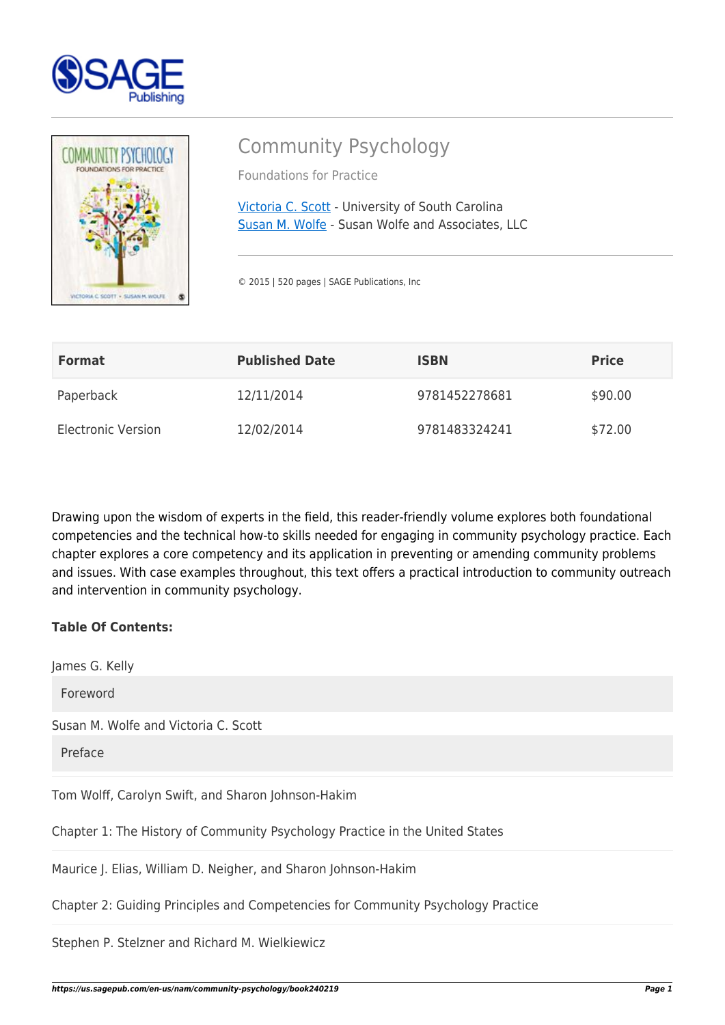



**Table Of Contents:** 

## Community Psychology

Foundations for Practice

[Victoria C. Scott](https://us.sagepub.com/en-us/nam/author/victoria-chien-scott) - University of South Carolina [Susan M. Wolfe](https://us.sagepub.com/en-us/nam/author/susan-m-wolfe) - Susan Wolfe and Associates, LLC

© 2015 | 520 pages | SAGE Publications, Inc

| <b>Format</b>             | <b>Published Date</b> | <b>ISBN</b>   | <b>Price</b> |
|---------------------------|-----------------------|---------------|--------------|
| Paperback                 | 12/11/2014            | 9781452278681 | \$90.00      |
| <b>Electronic Version</b> | 12/02/2014            | 9781483324241 | \$72.00      |

Drawing upon the wisdom of experts in the field, this reader-friendly volume explores both foundational competencies and the technical how-to skills needed for engaging in community psychology practice. Each chapter explores a core competency and its application in preventing or amending community problems and issues. With case examples throughout, this text offers a practical introduction to community outreach and intervention in community psychology.

| James G. Kelly                                                               |
|------------------------------------------------------------------------------|
| Foreword                                                                     |
| Susan M. Wolfe and Victoria C. Scott                                         |
| Preface                                                                      |
| Tom Wolff, Carolyn Swift, and Sharon Johnson-Hakim                           |
| Chapter 1: The History of Community Psychology Practice in the United States |
| Maurice J. Elias, William D. Neigher, and Sharon Johnson-Hakim               |
|                                                                              |

Chapter 2: Guiding Principles and Competencies for Community Psychology Practice

Stephen P. Stelzner and Richard M. Wielkiewicz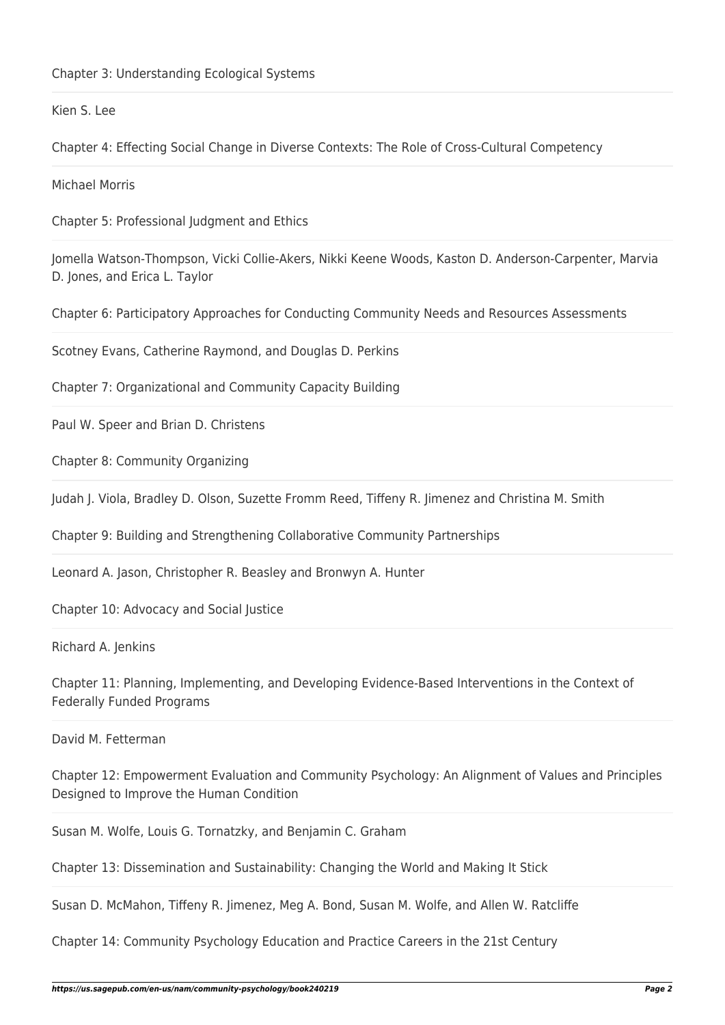## Kien S. Lee

Chapter 4: Effecting Social Change in Diverse Contexts: The Role of Cross-Cultural Competency

Michael Morris

Chapter 5: Professional Judgment and Ethics

Jomella Watson-Thompson, Vicki Collie-Akers, Nikki Keene Woods, Kaston D. Anderson-Carpenter, Marvia D. Jones, and Erica L. Taylor

Chapter 6: Participatory Approaches for Conducting Community Needs and Resources Assessments

Scotney Evans, Catherine Raymond, and Douglas D. Perkins

Chapter 7: Organizational and Community Capacity Building

Paul W. Speer and Brian D. Christens

Chapter 8: Community Organizing

Judah J. Viola, Bradley D. Olson, Suzette Fromm Reed, Tiffeny R. Jimenez and Christina M. Smith

Chapter 9: Building and Strengthening Collaborative Community Partnerships

Leonard A. Jason, Christopher R. Beasley and Bronwyn A. Hunter

Chapter 10: Advocacy and Social Justice

Richard A. Jenkins

Chapter 11: Planning, Implementing, and Developing Evidence-Based Interventions in the Context of Federally Funded Programs

David M. Fetterman

Chapter 12: Empowerment Evaluation and Community Psychology: An Alignment of Values and Principles Designed to Improve the Human Condition

Susan M. Wolfe, Louis G. Tornatzky, and Benjamin C. Graham

Chapter 13: Dissemination and Sustainability: Changing the World and Making It Stick

Susan D. McMahon, Tiffeny R. Jimenez, Meg A. Bond, Susan M. Wolfe, and Allen W. Ratcliffe

Chapter 14: Community Psychology Education and Practice Careers in the 21st Century